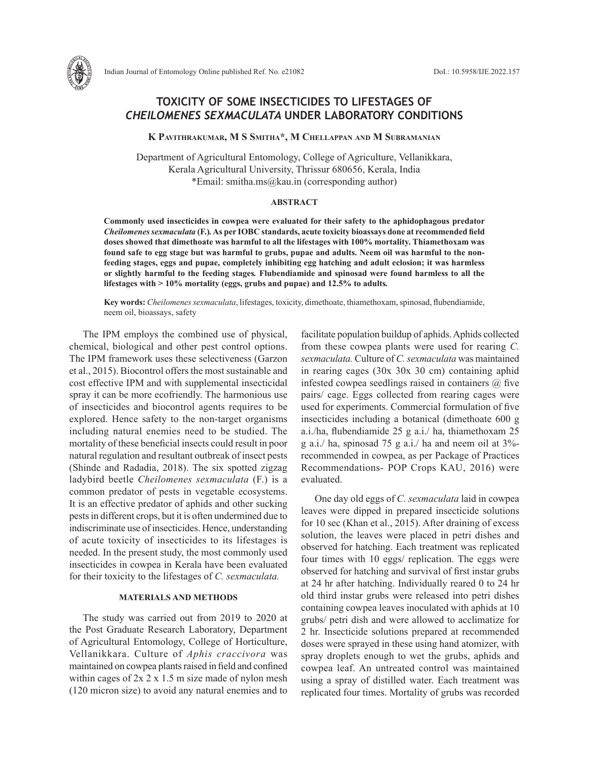

**K Pavithrakumar, M S Smitha\*, M Chellappan and M Subramanian**

Department of Agricultural Entomology, College of Agriculture, Vellanikkara, Kerala Agricultural University, Thrissur 680656, Kerala, India \*Email: smitha.ms@kau.in (corresponding author)

### **ABSTRACT**

**Commonly used insecticides in cowpea were evaluated for their safety to the aphidophagous predator**  *Cheilomenes sexmaculata* **(F.)***.* **As per IOBC standards, acute toxicity bioassays done at recommended field doses showed that dimethoate was harmful to all the lifestages with 100% mortality. Thiamethoxam was found safe to egg stage but was harmful to grubs, pupae and adults. Neem oil was harmful to the nonfeeding stages, eggs and pupae, completely inhibiting egg hatching and adult eclosion; it was harmless or slightly harmful to the feeding stages***.* **Flubendiamide and spinosad were found harmless to all the lifestages with > 10% mortality (eggs, grubs and pupae) and 12.5% to adults***.*

**Key words:** *Cheilomenes sexmaculata*, lifestages, toxicity, dimethoate, thiamethoxam, spinosad, flubendiamide, neem oil, bioassays, safety

The IPM employs the combined use of physical, chemical, biological and other pest control options. The IPM framework uses these selectiveness (Garzon et al., 2015). Biocontrol offers the most sustainable and cost effective IPM and with supplemental insecticidal spray it can be more ecofriendly. The harmonious use of insecticides and biocontrol agents requires to be explored. Hence safety to the non-target organisms including natural enemies need to be studied. The mortality of these beneficial insects could result in poor natural regulation and resultant outbreak of insect pests (Shinde and Radadia, 2018). The six spotted zigzag ladybird beetle *Cheilomenes sexmaculata* (F.) is a common predator of pests in vegetable ecosystems. It is an effective predator of aphids and other sucking pests in different crops, but it is often undermined due to indiscriminate use of insecticides. Hence, understanding of acute toxicity of insecticides to its lifestages is needed. In the present study, the most commonly used insecticides in cowpea in Kerala have been evaluated for their toxicity to the lifestages of *C. sexmaculata.* 

# **MATERIALS AND METHODS**

The study was carried out from 2019 to 2020 at the Post Graduate Research Laboratory, Department of Agricultural Entomology, College of Horticulture, Vellanikkara. Culture of *Aphis craccivora* was maintained on cowpea plants raised in field and confined within cages of  $2x \times 1.5$  m size made of nylon mesh (120 micron size) to avoid any natural enemies and to

facilitate population buildup of aphids. Aphids collected from these cowpea plants were used for rearing *C. sexmaculata.* Culture of *C. sexmaculata* was maintained in rearing cages (30x 30x 30 cm) containing aphid infested cowpea seedlings raised in containers  $\omega$  five pairs/ cage. Eggs collected from rearing cages were used for experiments. Commercial formulation of five insecticides including a botanical (dimethoate 600 g a.i./ha, flubendiamide 25 g a.i./ ha, thiamethoxam 25 g a.i./ ha, spinosad 75 g a.i./ ha and neem oil at 3% recommended in cowpea, as per Package of Practices Recommendations- POP Crops KAU, 2016) were evaluated.

One day old eggs of *C. sexmaculata* laid in cowpea leaves were dipped in prepared insecticide solutions for 10 sec (Khan et al., 2015). After draining of excess solution, the leaves were placed in petri dishes and observed for hatching. Each treatment was replicated four times with 10 eggs/ replication. The eggs were observed for hatching and survival of first instar grubs at 24 hr after hatching. Individually reared 0 to 24 hr old third instar grubs were released into petri dishes containing cowpea leaves inoculated with aphids at 10 grubs/ petri dish and were allowed to acclimatize for 2 hr. Insecticide solutions prepared at recommended doses were sprayed in these using hand atomizer, with spray droplets enough to wet the grubs, aphids and cowpea leaf. An untreated control was maintained using a spray of distilled water. Each treatment was replicated four times. Mortality of grubs was recorded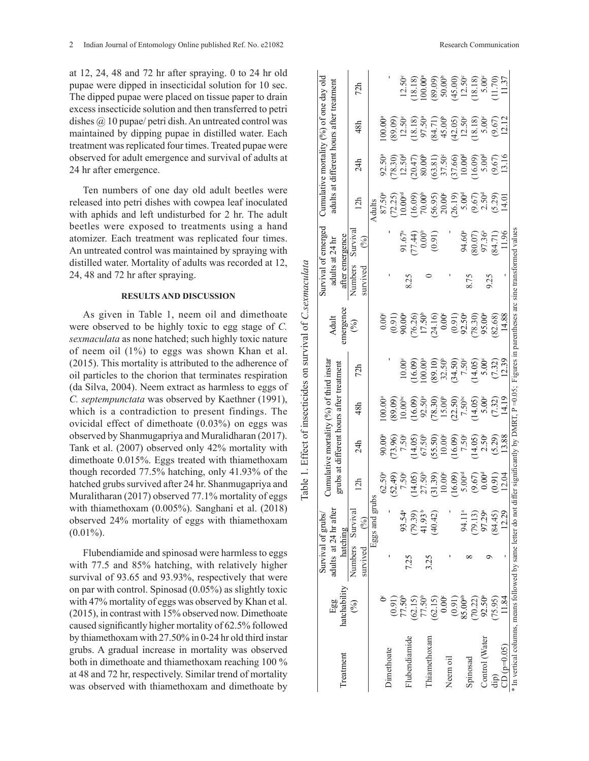at 12, 24, 48 and 72 hr after spraying. 0 to 24 hr old pupae were dipped in insecticidal solution for 10 sec. The dipped pupae were placed on tissue paper to drain excess insecticide solution and then transferred to petri dishes @ 10 pupae/ petri dish. An untreated control was maintained by dipping pupae in distilled water. Each treatment was replicated four times. Treated pupae were observed for adult emergence and survival of adults at 24 hr after emergence.

Ten numbers of one day old adult beetles were released into petri dishes with cowpea leaf inoculated with aphids and left undisturbed for 2 hr. The adult beetles were exposed to treatments using a hand atomizer. Each treatment was replicated four times. An untreated control was maintained by spraying with distilled water. Mortality of adults was recorded at 12, 24, 48 and 72 hr after spraying.

### **RESULTS AND DISCUSSION**

As given in Table 1, neem oil and dimethoate were observed to be highly toxic to egg stage of *C. sexmaculata* as none hatched; such highly toxic nature of neem oil (1%) to eggs was shown Khan et al. (2015). This mortality is attributed to the adherence of oil particles to the chorion that terminates respiration (da Silva, 2004). Neem extract as harmless to eggs of *C. septempunctata* was observed by Kaethner (1991), which is a contradiction to present findings. The ovicidal effect of dimethoate (0.03%) on eggs was observed by Shanmugapriya and Muralidharan (2017). Tank et al. (2007) observed only 42% mortality with dimethoate 0.015%. Eggs treated with thiamethoxam though recorded 77.5% hatching, only 41.93% of the hatched grubs survived after 24 hr. Shanmugapriya and Muralitharan (2017) observed 77.1% mortality of eggs with thiamethoxam (0.005%). Sanghani et al. (2018) observed 24% mortality of eggs with thiamethoxam  $(0.01\%)$ .

Flubendiamide and spinosad were harmless to eggs with 77.5 and 85% hatching, with relatively higher survival of 93.65 and 93.93%, respectively that were on par with control. Spinosad (0.05%) as slightly toxic with 47% mortality of eggs was observed by Khan et al. (2015), in contrast with 15% observed now. Dimethoate caused significantly higher mortality of 62.5% followed by thiamethoxam with 27.50% in 0-24 hr old third instar grubs. A gradual increase in mortality was observed both in dimethoate and thiamethoxam reaching 100 % at 48 and 72 hr, respectively. Similar trend of mortality was observed with thiamethoxam and dimethoate by

|           |                                 | $12.50^{\circ}$ | (18.18) | $100.00$ <sup>a</sup>           | (60.68)<br>$\begin{array}{c} (89.09) \\ 12.50^{\circ} \\ (18.18) \\ (97.50^{\circ} \\ (84.71) \\ 45.00^{\circ} \end{array}$ | (45.00)<br>(42.05) |
|-----------|---------------------------------|-----------------|---------|---------------------------------|-----------------------------------------------------------------------------------------------------------------------------|--------------------|
| $92.50^a$ | $(78.30)$<br>12.50 <sup>d</sup> |                 |         | $(20.47)$<br>80.00 <sup>b</sup> | $(63.81)$<br>$37.50^{\circ}$                                                                                                | (37.66)            |

|                                                           | Egg                 | adults at 24 hr after        |                    |                                                                                                                                                                                                                                                                                                         | grubs at different hours after |       |                                                                                                                                                                                                                                                                                                                                               | Adult                                                                                                                                                                                                                                                                                                         | adults a            | at 24 $\rm hr$                                                                                                                                                                                                           |                                                                                                                                                                                                                                                                                                                                                                                                                                   | adults at different hours after :                                                                                                                                                                          |                                                                                                                                                                                                                                                                                              | теяттеп                                                                                                                                                                                                                                                                                                             |
|-----------------------------------------------------------|---------------------|------------------------------|--------------------|---------------------------------------------------------------------------------------------------------------------------------------------------------------------------------------------------------------------------------------------------------------------------------------------------------|--------------------------------|-------|-----------------------------------------------------------------------------------------------------------------------------------------------------------------------------------------------------------------------------------------------------------------------------------------------------------------------------------------------|---------------------------------------------------------------------------------------------------------------------------------------------------------------------------------------------------------------------------------------------------------------------------------------------------------------|---------------------|--------------------------------------------------------------------------------------------------------------------------------------------------------------------------------------------------------------------------|-----------------------------------------------------------------------------------------------------------------------------------------------------------------------------------------------------------------------------------------------------------------------------------------------------------------------------------------------------------------------------------------------------------------------------------|------------------------------------------------------------------------------------------------------------------------------------------------------------------------------------------------------------|----------------------------------------------------------------------------------------------------------------------------------------------------------------------------------------------------------------------------------------------------------------------------------------------|---------------------------------------------------------------------------------------------------------------------------------------------------------------------------------------------------------------------------------------------------------------------------------------------------------------------|
| <b>I</b> reatment                                         | hatchability        | hatching                     |                    |                                                                                                                                                                                                                                                                                                         |                                |       |                                                                                                                                                                                                                                                                                                                                               |                                                                                                                                                                                                                                                                                                               | after emergence     |                                                                                                                                                                                                                          |                                                                                                                                                                                                                                                                                                                                                                                                                                   |                                                                                                                                                                                                            |                                                                                                                                                                                                                                                                                              |                                                                                                                                                                                                                                                                                                                     |
|                                                           | $($ %)              | Numbers Survival<br>survived | $(\%)$             | 12h                                                                                                                                                                                                                                                                                                     | 24h                            | 48h   | 72h                                                                                                                                                                                                                                                                                                                                           | emergence<br>$\binom{9}{6}$                                                                                                                                                                                                                                                                                   | Numbers<br>survived | Surviva<br>(%)                                                                                                                                                                                                           | 12h                                                                                                                                                                                                                                                                                                                                                                                                                               | 24h                                                                                                                                                                                                        | 48h                                                                                                                                                                                                                                                                                          | 72h                                                                                                                                                                                                                                                                                                                 |
|                                                           |                     |                              | Eggs and gr        |                                                                                                                                                                                                                                                                                                         |                                |       |                                                                                                                                                                                                                                                                                                                                               |                                                                                                                                                                                                                                                                                                               |                     |                                                                                                                                                                                                                          |                                                                                                                                                                                                                                                                                                                                                                                                                                   |                                                                                                                                                                                                            |                                                                                                                                                                                                                                                                                              |                                                                                                                                                                                                                                                                                                                     |
|                                                           |                     |                              |                    |                                                                                                                                                                                                                                                                                                         |                                | 00.00 |                                                                                                                                                                                                                                                                                                                                               |                                                                                                                                                                                                                                                                                                               |                     |                                                                                                                                                                                                                          |                                                                                                                                                                                                                                                                                                                                                                                                                                   |                                                                                                                                                                                                            | $00.00$ <sup>*</sup>                                                                                                                                                                                                                                                                         |                                                                                                                                                                                                                                                                                                                     |
| <b>Dimethoate</b>                                         | (0.91)              |                              |                    |                                                                                                                                                                                                                                                                                                         |                                |       |                                                                                                                                                                                                                                                                                                                                               |                                                                                                                                                                                                                                                                                                               |                     |                                                                                                                                                                                                                          |                                                                                                                                                                                                                                                                                                                                                                                                                                   |                                                                                                                                                                                                            |                                                                                                                                                                                                                                                                                              |                                                                                                                                                                                                                                                                                                                     |
|                                                           | 77.50 <sup>b</sup>  |                              | 93.54ª             |                                                                                                                                                                                                                                                                                                         |                                |       |                                                                                                                                                                                                                                                                                                                                               |                                                                                                                                                                                                                                                                                                               |                     |                                                                                                                                                                                                                          |                                                                                                                                                                                                                                                                                                                                                                                                                                   |                                                                                                                                                                                                            |                                                                                                                                                                                                                                                                                              | $12.50^{\circ}$                                                                                                                                                                                                                                                                                                     |
| Flubendiamide                                             | (62.15)             | 7.25                         | (79.39)            |                                                                                                                                                                                                                                                                                                         |                                |       |                                                                                                                                                                                                                                                                                                                                               |                                                                                                                                                                                                                                                                                                               | 8.25                |                                                                                                                                                                                                                          |                                                                                                                                                                                                                                                                                                                                                                                                                                   |                                                                                                                                                                                                            |                                                                                                                                                                                                                                                                                              |                                                                                                                                                                                                                                                                                                                     |
|                                                           | 77.50 <sup>b</sup>  |                              | 41.93 <sup>b</sup> |                                                                                                                                                                                                                                                                                                         |                                |       |                                                                                                                                                                                                                                                                                                                                               |                                                                                                                                                                                                                                                                                                               |                     |                                                                                                                                                                                                                          |                                                                                                                                                                                                                                                                                                                                                                                                                                   |                                                                                                                                                                                                            |                                                                                                                                                                                                                                                                                              |                                                                                                                                                                                                                                                                                                                     |
| hiamethoxam                                               | (62.15)             | 3.25                         | (40.42)            |                                                                                                                                                                                                                                                                                                         |                                |       |                                                                                                                                                                                                                                                                                                                                               |                                                                                                                                                                                                                                                                                                               |                     |                                                                                                                                                                                                                          |                                                                                                                                                                                                                                                                                                                                                                                                                                   |                                                                                                                                                                                                            |                                                                                                                                                                                                                                                                                              |                                                                                                                                                                                                                                                                                                                     |
|                                                           | $0.00^{\circ}$      |                              |                    |                                                                                                                                                                                                                                                                                                         |                                |       |                                                                                                                                                                                                                                                                                                                                               |                                                                                                                                                                                                                                                                                                               |                     |                                                                                                                                                                                                                          |                                                                                                                                                                                                                                                                                                                                                                                                                                   |                                                                                                                                                                                                            |                                                                                                                                                                                                                                                                                              |                                                                                                                                                                                                                                                                                                                     |
| Neem oil                                                  | (0.91)              |                              |                    |                                                                                                                                                                                                                                                                                                         |                                |       |                                                                                                                                                                                                                                                                                                                                               |                                                                                                                                                                                                                                                                                                               |                     |                                                                                                                                                                                                                          |                                                                                                                                                                                                                                                                                                                                                                                                                                   |                                                                                                                                                                                                            |                                                                                                                                                                                                                                                                                              |                                                                                                                                                                                                                                                                                                                     |
|                                                           | 85.00 <sup>ab</sup> |                              | 94.11ª             |                                                                                                                                                                                                                                                                                                         |                                |       |                                                                                                                                                                                                                                                                                                                                               |                                                                                                                                                                                                                                                                                                               |                     |                                                                                                                                                                                                                          |                                                                                                                                                                                                                                                                                                                                                                                                                                   |                                                                                                                                                                                                            |                                                                                                                                                                                                                                                                                              |                                                                                                                                                                                                                                                                                                                     |
| Spinosad                                                  | (70.22)             |                              | (79.13)            |                                                                                                                                                                                                                                                                                                         |                                |       |                                                                                                                                                                                                                                                                                                                                               |                                                                                                                                                                                                                                                                                                               | 8.75                |                                                                                                                                                                                                                          |                                                                                                                                                                                                                                                                                                                                                                                                                                   |                                                                                                                                                                                                            |                                                                                                                                                                                                                                                                                              |                                                                                                                                                                                                                                                                                                                     |
| Control (Water                                            | 92.50ª              |                              | 97.29ª             | $6^{15}$<br>$6^{15}$<br>$6^{15}$<br>$6^{15}$<br>$6^{15}$<br>$6^{15}$<br>$6^{15}$<br>$6^{15}$<br>$6^{15}$<br>$6^{15}$<br>$6^{15}$<br>$6^{15}$<br>$6^{15}$<br>$6^{15}$<br>$6^{15}$<br>$6^{15}$<br>$6^{15}$<br>$6^{15}$<br>$6^{15}$<br>$6^{15}$<br>$6^{15}$<br>$6^{15}$<br>$6^{15}$<br>$6^{15}$<br>$6^{15$ |                                |       | $\begin{array}{l} 10.00 \\ (16.09) \\ (16.09) \\ (100.00) \\ (200) \\ (300) \\ (400) \\ (50) \\ (50) \\ (60) \\ (7,3) \\ (8,4) \\ (9,5) \\ (1,3) \\ (1,3) \\ (1,3) \\ (1,3) \\ (1,3) \\ (1,3) \\ (1,3) \\ (1,3) \\ (1,3) \\ (1,3) \\ (1,3) \\ (1,3) \\ (1,3) \\ (1,3) \\ (1,3) \\ (1,3) \\ (1,3) \\ (1,3) \\ (1,3) \\ (1,3) \\ (1,3) \\ (1,3$ | $\begin{array}{c} 0.00 \\ 0.91 \\ 0.91 \\ 0.00 \\ 0.00 \\ 0.01 \\ 0.00 \\ 0.01 \\ 0.00 \\ 0.01 \\ 0.00 \\ 0.00 \\ 0.01 \\ 0.00 \\ 0.01 \\ 0.00 \\ 0.00 \\ 0.00 \\ 0.00 \\ 0.00 \\ 0.00 \\ 0.00 \\ 0.00 \\ 0.00 \\ 0.00 \\ 0.00 \\ 0.00 \\ 0.00 \\ 0.00 \\ 0.00 \\ 0.00 \\ 0.00 \\ 0.00 \\ 0.00 \\ 0.00 \\ 0.$ | 9.25                | 91.67 <sup>a</sup><br>(77.44)<br>(0.91)<br>(0.91)<br>(1.96<br>(8.07)<br>(3.471)<br>(3.07<br>(3.471)<br>(3.07<br>(3.44)<br>(3.09<br>(3.07<br>(3.07)<br>(3.07)<br>(3.07)<br>(3.07)<br>(3.07)<br>(3.07)<br>(3.07)<br>(3.07) | $\begin{array}{l} \mathcal{A} \ \mathsf{d} \ \mathsf{d} \ \mathsf{f} \ \mathsf{S} \ \mathsf{S} \ \mathsf{S} \ \mathsf{S} \ \mathsf{S} \ \mathsf{S} \ \mathsf{S} \ \mathsf{S} \ \mathsf{S} \ \mathsf{S} \ \mathsf{S} \ \mathsf{S} \ \mathsf{S} \ \mathsf{S} \ \mathsf{S} \ \mathsf{S} \ \mathsf{S} \ \mathsf{S} \ \mathsf{S} \ \mathsf{S} \ \mathsf{S} \ \mathsf{S} \ \mathsf{S} \ \mathsf{S} \ \mathsf{S} \ \mathsf{S} \ \mathsf$ | 9.5.6<br>(78.30)<br>(78.30)<br>(79.30)<br>(79.60)<br>(79.60)<br>(79.60)<br>(79.60)<br>(7.60)<br>(7.60)<br>(7.60)<br>(7.60)<br>(7.60)<br>(7.60)<br>(7.60)<br>(7.60)<br>(7.60)<br>(7.60)<br>(7.60)<br>(7.60) | $\begin{array}{l} (89.09)\\ (29.02)\\ (12.50)\\ (29.03)\\ (30.05)\\ (40.05)\\ (50.05)\\ (60.05)\\ (60.05)\\ (60.05)\\ (60.05)\\ (60.05)\\ (60.05)\\ (60.05)\\ (60.05)\\ (60.05)\\ (60.05)\\ (60.05)\\ (60.05)\\ (60.05)\\ (60.05)\\ (60.05)\\ (60.05)\\ (60.05)\\ (60.05)\\ (60.05)\\ (60.0$ | $\begin{array}{l} (18.18) \\ (00.000) \\ (00.000) \\ (00.000) \\ (00.000) \\ (00.000) \\ (00.000) \\ (00.000) \\ (0.000) \\ (0.000) \\ (0.000) \\ (0.000) \\ (0.000) \\ (0.000) \\ (0.000) \\ (0.000) \\ (0.000) \\ (0.000) \\ (0.000) \\ (0.000) \\ (0.000) \\ (0.000) \\ (0.000) \\ (0.000) \\ (0.000) \\ (0.000$ |
| dip)                                                      | (75.95)             |                              | 84.45)             |                                                                                                                                                                                                                                                                                                         |                                |       |                                                                                                                                                                                                                                                                                                                                               |                                                                                                                                                                                                                                                                                                               |                     |                                                                                                                                                                                                                          |                                                                                                                                                                                                                                                                                                                                                                                                                                   |                                                                                                                                                                                                            |                                                                                                                                                                                                                                                                                              |                                                                                                                                                                                                                                                                                                                     |
| $2D (p=0.05)$                                             | 1.84                |                              | 12.29              |                                                                                                                                                                                                                                                                                                         |                                |       |                                                                                                                                                                                                                                                                                                                                               |                                                                                                                                                                                                                                                                                                               |                     |                                                                                                                                                                                                                          |                                                                                                                                                                                                                                                                                                                                                                                                                                   |                                                                                                                                                                                                            |                                                                                                                                                                                                                                                                                              |                                                                                                                                                                                                                                                                                                                     |
| In vertical columns, means followed by same letter do not |                     |                              |                    | differ significantly by DMRT, $P = 0.05$                                                                                                                                                                                                                                                                |                                |       |                                                                                                                                                                                                                                                                                                                                               | Figures in parentheses arc sine transformed value                                                                                                                                                                                                                                                             |                     |                                                                                                                                                                                                                          |                                                                                                                                                                                                                                                                                                                                                                                                                                   |                                                                                                                                                                                                            |                                                                                                                                                                                                                                                                                              |                                                                                                                                                                                                                                                                                                                     |

Table 1. Effect of insecticides on survival of *C.sexmaculata*

Table 1. Effect of insecticides on survival of C.sexmaculata

Survival of grubs/ adults at 24 hr after

adults at 24 hr after Survival of grubs/

Cumulative mortality (%) of third instar

Cumulative mortality (%) of third instar grubs at different hours after treatment

Survival of emerged adults at 24 hr

**Adult** 

Survival of emerged adults at 24 hr

Cumulative mortality (%) of one day old adults at different hours after treatment

Cumulative mortality (%) of one day old adults at different hours after treatment